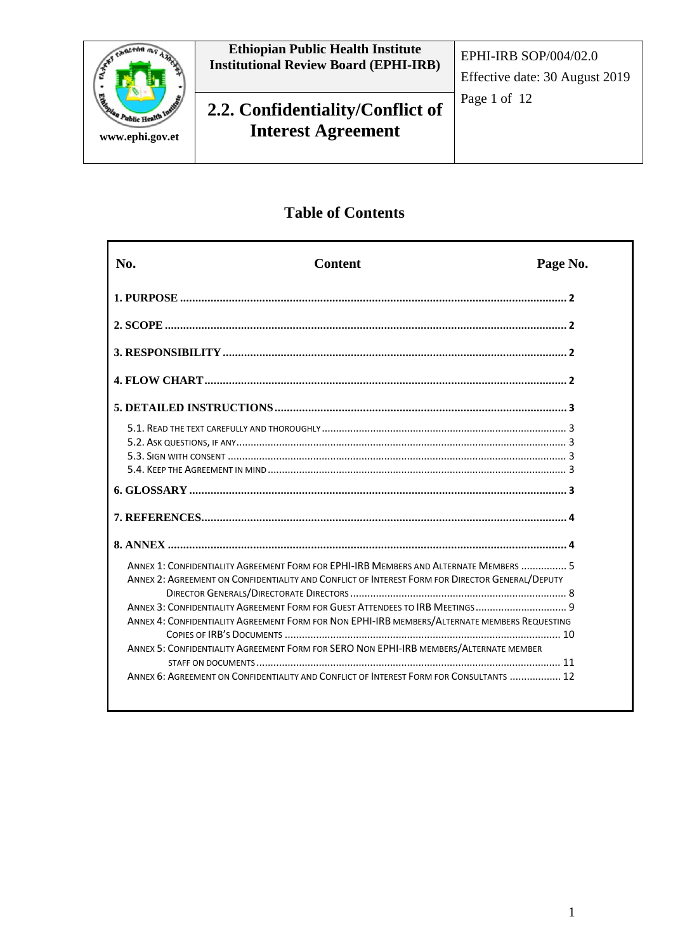

# **Table of Contents**

| No. | <b>Content</b>                                                                                  | Page No. |
|-----|-------------------------------------------------------------------------------------------------|----------|
|     |                                                                                                 |          |
|     |                                                                                                 |          |
|     |                                                                                                 |          |
|     |                                                                                                 |          |
|     |                                                                                                 |          |
|     |                                                                                                 |          |
|     |                                                                                                 |          |
|     |                                                                                                 |          |
|     |                                                                                                 |          |
|     |                                                                                                 |          |
|     |                                                                                                 |          |
|     |                                                                                                 |          |
|     |                                                                                                 |          |
|     | ANNEX 1: CONFIDENTIALITY AGREEMENT FORM FOR EPHI-IRB MEMBERS AND ALTERNATE MEMBERS  5           |          |
|     |                                                                                                 |          |
|     | ANNEX 2: AGREEMENT ON CONFIDENTIALITY AND CONFLICT OF INTEREST FORM FOR DIRECTOR GENERAL/DEPUTY |          |
|     | ANNEX 3: CONFIDENTIALITY AGREEMENT FORM FOR GUEST ATTENDEES TO IRB MEETINGS 9                   |          |
|     | ANNEX 4: CONFIDENTIALITY AGREEMENT FORM FOR NON EPHI-IRB MEMBERS/ALTERNATE MEMBERS REQUESTING   |          |
|     |                                                                                                 |          |
|     | ANNEX 5: CONFIDENTIALITY AGREEMENT FORM FOR SERO NON EPHI-IRB MEMBERS/ALTERNATE MEMBER          |          |
|     |                                                                                                 |          |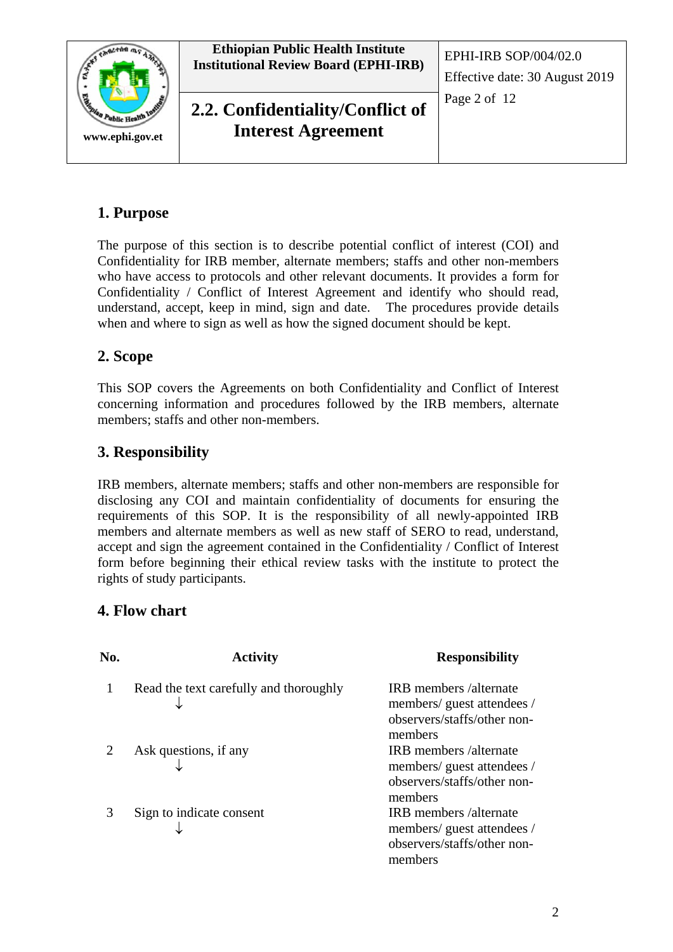

# **1. Purpose**

The purpose of this section is to describe potential conflict of interest (COI) and Confidentiality for IRB member, alternate members; staffs and other non-members who have access to protocols and other relevant documents. It provides a form for Confidentiality / Conflict of Interest Agreement and identify who should read, understand, accept, keep in mind, sign and date. The procedures provide details when and where to sign as well as how the signed document should be kept.

## **2. Scope**

This SOP covers the Agreements on both Confidentiality and Conflict of Interest concerning information and procedures followed by the IRB members, alternate members; staffs and other non-members.

### **3. Responsibility**

IRB members, alternate members; staffs and other non-members are responsible for disclosing any COI and maintain confidentiality of documents for ensuring the requirements of this SOP. It is the responsibility of all newly-appointed IRB members and alternate members as well as new staff of SERO to read, understand, accept and sign the agreement contained in the Confidentiality / Conflict of Interest form before beginning their ethical review tasks with the institute to protect the rights of study participants.

### **4. Flow chart**

| No. | <b>Activity</b>                        | <b>Responsibility</b>                                                                                |
|-----|----------------------------------------|------------------------------------------------------------------------------------------------------|
|     | Read the text carefully and thoroughly | IRB members/alternate<br>members/guest attendees/<br>observers/staffs/other non-<br>members          |
|     | Ask questions, if any                  | <b>IRB</b> members /alternate<br>members/guest attendees /<br>observers/staffs/other non-<br>members |
| 3   | Sign to indicate consent               | IRB members /alternate<br>members/guest attendees/<br>observers/staffs/other non-<br>members         |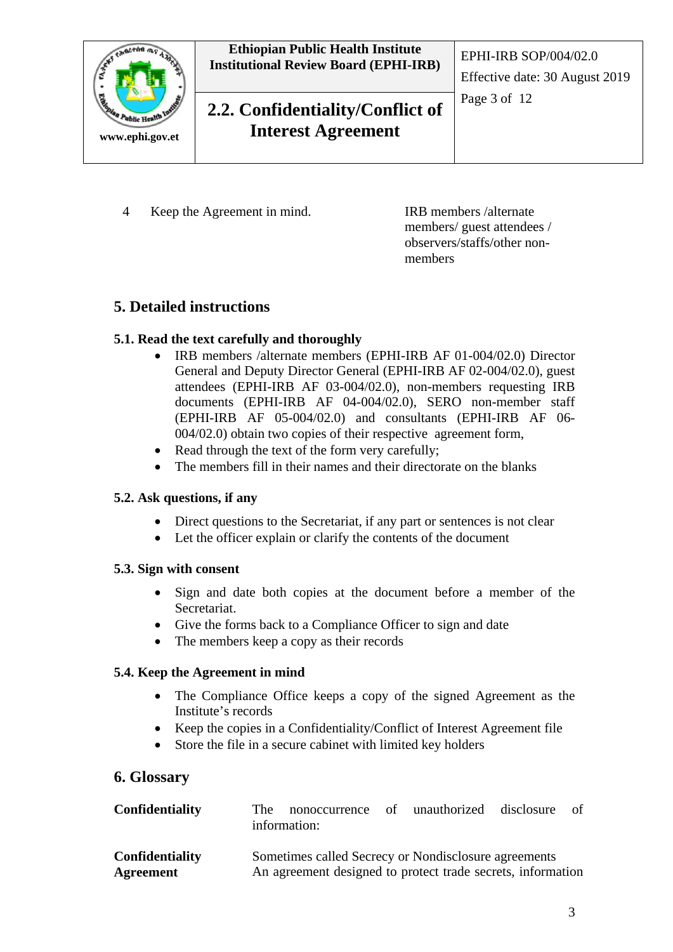

4 Keep the Agreement in mind.

IRB members /alternate members/ guest attendees / observers/staffs/other nonmembers

### **5. Detailed instructions**

#### **5.1. Read the text carefully and thoroughly**

- IRB members /alternate members (EPHI-IRB AF 01-004/02.0) Director General and Deputy Director General (EPHI-IRB AF 02-004/02.0), guest attendees (EPHI-IRB AF 03-004/02.0), non-members requesting IRB documents (EPHI-IRB AF 04-004/02.0), SERO non-member staff (EPHI-IRB AF 05-004/02.0) and consultants (EPHI-IRB AF 06- 004/02.0) obtain two copies of their respective agreement form,
- Read through the text of the form very carefully;
- The members fill in their names and their directorate on the blanks

#### **5.2. Ask questions, if any**

- Direct questions to the Secretariat, if any part or sentences is not clear
- Let the officer explain or clarify the contents of the document

#### **5.3. Sign with consent**

- Sign and date both copies at the document before a member of the Secretariat.
- Give the forms back to a Compliance Officer to sign and date
- The members keep a copy as their records

#### **5.4. Keep the Agreement in mind**

- The Compliance Office keeps a copy of the signed Agreement as the Institute's records
- Keep the copies in a Confidentiality/Conflict of Interest Agreement file
- Store the file in a secure cabinet with limited key holders

#### **6. Glossary**

| <b>Confidentiality</b>              | The                                                                                                                 | nonoccurrence of unauthorized disclosure<br>information: |  |  |  | of |
|-------------------------------------|---------------------------------------------------------------------------------------------------------------------|----------------------------------------------------------|--|--|--|----|
| <b>Confidentiality</b><br>Agreement | Sometimes called Secrecy or Nondisclosure agreements<br>An agreement designed to protect trade secrets, information |                                                          |  |  |  |    |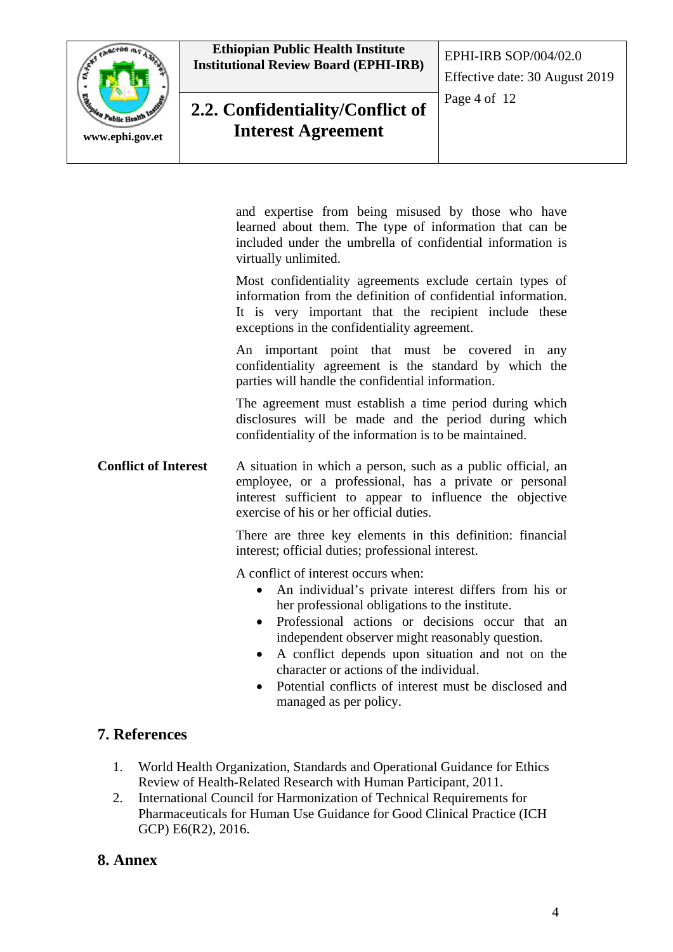

**Ethiopian Public Health Institute Institutional Review Board (EPHI-IRB)** EPHI-IRB SOP/004/02.0

# **2.2. Confidentiality/Conflict of Interest Agreement**

Page 4 of 12

and expertise from being misused by those who have learned about them. The type of information that can be included under the umbrella of confidential information is virtually unlimited.

Most confidentiality agreements exclude certain types of information from the definition of confidential information. It is very important that the recipient include these exceptions in the confidentiality agreement.

An important point that must be covered in any confidentiality agreement is the standard by which the parties will handle the confidential information.

The agreement must establish a time period during which disclosures will be made and the period during which confidentiality of the information is to be maintained.

**Conflict of Interest** A situation in which a person, such as a public official, an employee, or a professional, has a private or personal interest sufficient to appear to influence the objective exercise of his or her official duties.

> There are three key elements in this definition: financial interest; official duties; professional interest.

A conflict of interest occurs when:

- An individual's private interest differs from his or her professional obligations to the institute.
- Professional actions or decisions occur that an independent observer might reasonably question.
- A conflict depends upon situation and not on the character or actions of the individual.
- Potential conflicts of interest must be disclosed and managed as per policy.

### **7. References**

- 1. World Health Organization, Standards and Operational Guidance for Ethics Review of Health-Related Research with Human Participant, 2011.
- 2. International Council for Harmonization of Technical Requirements for Pharmaceuticals for Human Use Guidance for Good Clinical Practice (ICH GCP) E6(R2), 2016.

### **8. Annex**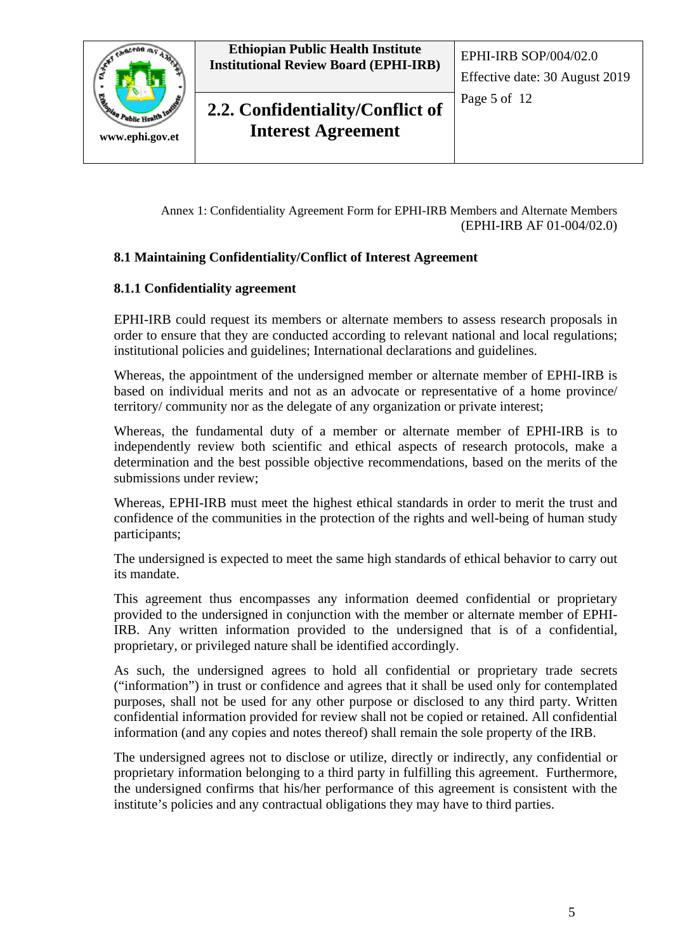

Annex 1: Confidentiality Agreement Form for EPHI-IRB Members and Alternate Members (EPHI-IRB AF 01-004/02.0)

#### **8.1 Maintaining Confidentiality/Conflict of Interest Agreement**

#### **8.1.1 Confidentiality agreement**

EPHI-IRB could request its members or alternate members to assess research proposals in order to ensure that they are conducted according to relevant national and local regulations; institutional policies and guidelines; International declarations and guidelines.

Whereas, the appointment of the undersigned member or alternate member of EPHI-IRB is based on individual merits and not as an advocate or representative of a home province/ territory/ community nor as the delegate of any organization or private interest;

Whereas, the fundamental duty of a member or alternate member of EPHI-IRB is to independently review both scientific and ethical aspects of research protocols, make a determination and the best possible objective recommendations, based on the merits of the submissions under review;

Whereas, EPHI-IRB must meet the highest ethical standards in order to merit the trust and confidence of the communities in the protection of the rights and well-being of human study participants;

The undersigned is expected to meet the same high standards of ethical behavior to carry out its mandate.

This agreement thus encompasses any information deemed confidential or proprietary provided to the undersigned in conjunction with the member or alternate member of EPHI-IRB. Any written information provided to the undersigned that is of a confidential, proprietary, or privileged nature shall be identified accordingly.

As such, the undersigned agrees to hold all confidential or proprietary trade secrets ("information") in trust or confidence and agrees that it shall be used only for contemplated purposes, shall not be used for any other purpose or disclosed to any third party. Written confidential information provided for review shall not be copied or retained. All confidential information (and any copies and notes thereof) shall remain the sole property of the IRB.

The undersigned agrees not to disclose or utilize, directly or indirectly, any confidential or proprietary information belonging to a third party in fulfilling this agreement. Furthermore, the undersigned confirms that his/her performance of this agreement is consistent with the institute's policies and any contractual obligations they may have to third parties.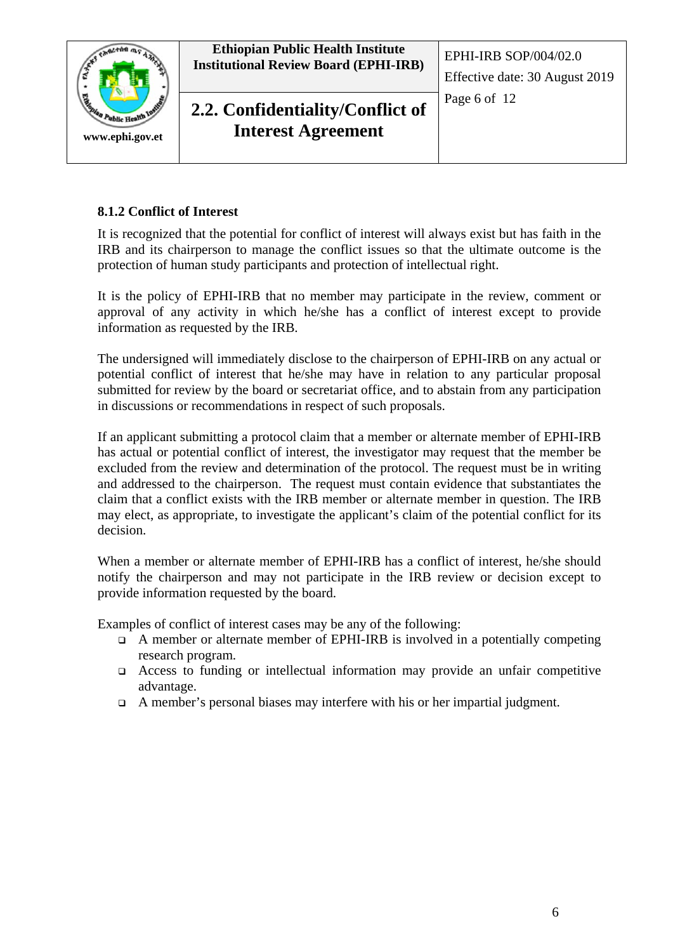



**2.2. Confidentiality/Conflict of Interest Agreement**

#### **8.1.2 Conflict of Interest**

It is recognized that the potential for conflict of interest will always exist but has faith in the IRB and its chairperson to manage the conflict issues so that the ultimate outcome is the protection of human study participants and protection of intellectual right.

It is the policy of EPHI-IRB that no member may participate in the review, comment or approval of any activity in which he/she has a conflict of interest except to provide information as requested by the IRB.

The undersigned will immediately disclose to the chairperson of EPHI-IRB on any actual or potential conflict of interest that he/she may have in relation to any particular proposal submitted for review by the board or secretariat office, and to abstain from any participation in discussions or recommendations in respect of such proposals.

If an applicant submitting a protocol claim that a member or alternate member of EPHI-IRB has actual or potential conflict of interest, the investigator may request that the member be excluded from the review and determination of the protocol. The request must be in writing and addressed to the chairperson. The request must contain evidence that substantiates the claim that a conflict exists with the IRB member or alternate member in question. The IRB may elect, as appropriate, to investigate the applicant's claim of the potential conflict for its decision.

When a member or alternate member of EPHI-IRB has a conflict of interest, he/she should notify the chairperson and may not participate in the IRB review or decision except to provide information requested by the board.

Examples of conflict of interest cases may be any of the following:

- A member or alternate member of EPHI-IRB is involved in a potentially competing research program.
- Access to funding or intellectual information may provide an unfair competitive advantage.
- $\Box$  A member's personal biases may interfere with his or her impartial judgment.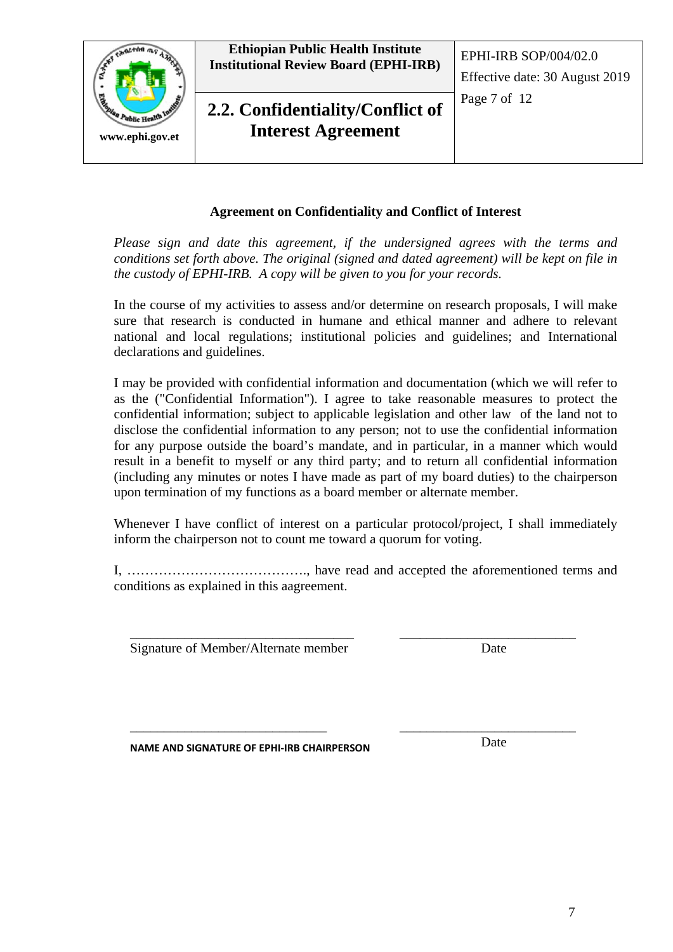

#### **Agreement on Confidentiality and Conflict of Interest**

*Please sign and date this agreement, if the undersigned agrees with the terms and conditions set forth above. The original (signed and dated agreement) will be kept on file in the custody of EPHI-IRB. A copy will be given to you for your records.*

In the course of my activities to assess and/or determine on research proposals, I will make sure that research is conducted in humane and ethical manner and adhere to relevant national and local regulations; institutional policies and guidelines; and International declarations and guidelines.

I may be provided with confidential information and documentation (which we will refer to as the ("Confidential Information"). I agree to take reasonable measures to protect the confidential information; subject to applicable legislation and other law of the land not to disclose the confidential information to any person; not to use the confidential information for any purpose outside the board's mandate, and in particular, in a manner which would result in a benefit to myself or any third party; and to return all confidential information (including any minutes or notes I have made as part of my board duties) to the chairperson upon termination of my functions as a board member or alternate member.

Whenever I have conflict of interest on a particular protocol/project, I shall immediately inform the chairperson not to count me toward a quorum for voting.

I, …………………………………., have read and accepted the aforementioned terms and conditions as explained in this aagreement.

\_\_\_\_\_\_\_\_\_\_\_\_\_\_\_\_\_\_\_\_\_\_\_\_\_\_\_\_\_\_\_\_\_ Signature of Member/Alternate member

\_\_\_\_\_\_\_\_\_\_\_\_\_\_\_\_\_\_\_\_\_\_\_\_\_\_ Date

**NAME AND SIGNATURE OF EPHI-IRB CHAIRPERSON**

\_\_\_\_\_\_\_\_\_\_\_\_\_\_\_\_\_\_\_\_\_\_\_\_\_\_\_\_\_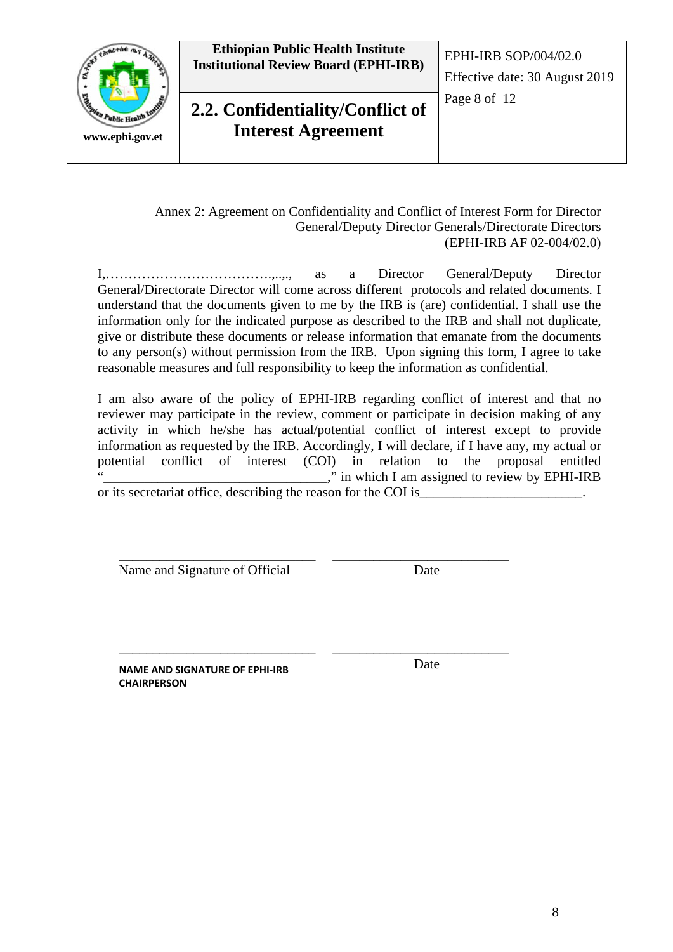



**2.2. Confidentiality/Conflict of Interest Agreement**

Effective date: 30 August 2019

Page 8 of 12

Annex 2: Agreement on Confidentiality and Conflict of Interest Form for Director General/Deputy Director Generals/Directorate Directors (EPHI-IRB AF 02-004/02.0)

I,……………………………….,..,., as a Director General/Deputy Director General/Directorate Director will come across different protocols and related documents. I understand that the documents given to me by the IRB is (are) confidential. I shall use the information only for the indicated purpose as described to the IRB and shall not duplicate, give or distribute these documents or release information that emanate from the documents to any person(s) without permission from the IRB. Upon signing this form, I agree to take reasonable measures and full responsibility to keep the information as confidential.

I am also aware of the policy of EPHI-IRB regarding conflict of interest and that no reviewer may participate in the review, comment or participate in decision making of any activity in which he/she has actual/potential conflict of interest except to provide information as requested by the IRB. Accordingly, I will declare, if I have any, my actual or potential conflict of interest (COI) in relation to the proposal entitled "," in which I am assigned to review by EPHI-IRB or its secretariat office, describing the reason for the COI is\_

\_\_\_\_\_\_\_\_\_\_\_\_\_\_\_\_\_\_\_\_\_\_\_\_\_\_\_\_\_ Name and Signature of Official

\_\_\_\_\_\_\_\_\_\_\_\_\_\_\_\_\_\_\_\_\_\_\_\_\_\_ Date

**NAME AND SIGNATURE OF EPHI-IRB CHAIRPERSON**

\_\_\_\_\_\_\_\_\_\_\_\_\_\_\_\_\_\_\_\_\_\_\_\_\_\_\_\_\_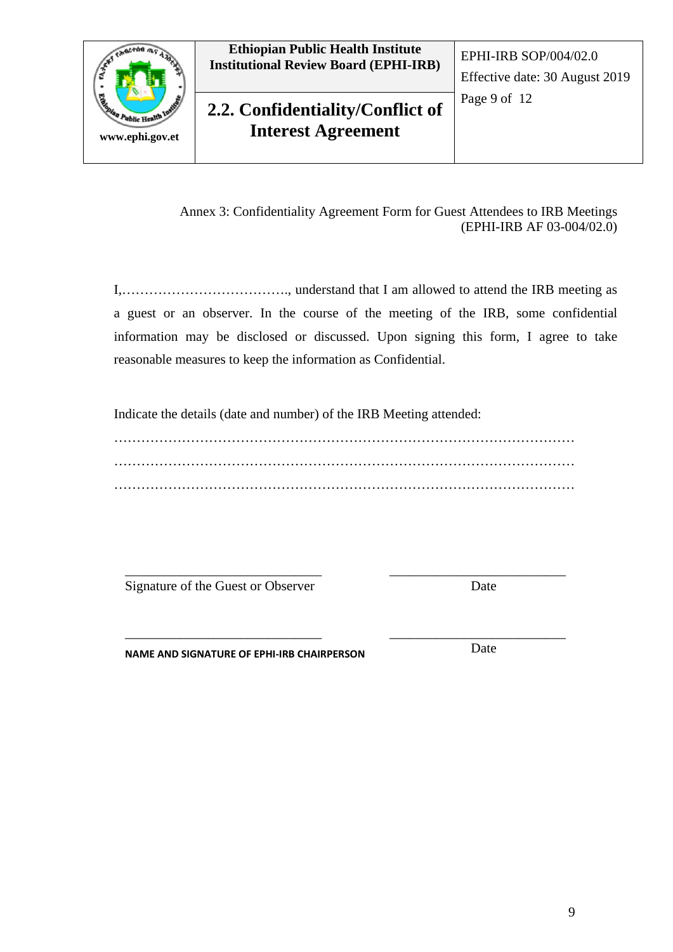

Annex 3: Confidentiality Agreement Form for Guest Attendees to IRB Meetings (EPHI-IRB AF 03-004/02.0)

I,………………………………., understand that I am allowed to attend the IRB meeting as a guest or an observer. In the course of the meeting of the IRB, some confidential information may be disclosed or discussed. Upon signing this form, I agree to take reasonable measures to keep the information as Confidential.

Indicate the details (date and number) of the IRB Meeting attended:

………………………………………………………………………………………… ………………………………………………………………………………………… …………………………………………………………………………………………

\_\_\_\_\_\_\_\_\_\_\_\_\_\_\_\_\_\_\_\_\_\_\_\_\_\_\_\_\_ Signature of the Guest or Observer

\_\_\_\_\_\_\_\_\_\_\_\_\_\_\_\_\_\_\_\_\_\_\_\_\_\_\_\_\_

Date

\_\_\_\_\_\_\_\_\_\_\_\_\_\_\_\_\_\_\_\_\_\_\_\_\_\_

**NAME AND SIGNATURE OF EPHI-IRB CHAIRPERSON**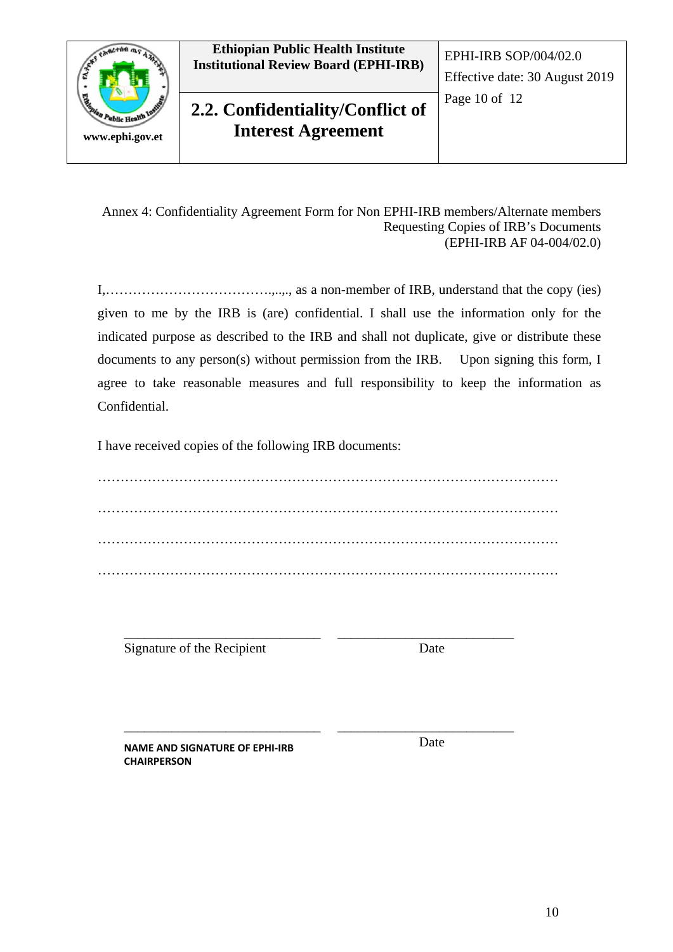



**2.2. Confidentiality/Conflict of Interest Agreement**

Annex 4: Confidentiality Agreement Form for Non EPHI-IRB members/Alternate members Requesting Copies of IRB's Documents (EPHI-IRB AF 04-004/02.0)

I,……………………………….,..,., as a non-member of IRB, understand that the copy (ies) given to me by the IRB is (are) confidential. I shall use the information only for the indicated purpose as described to the IRB and shall not duplicate, give or distribute these documents to any person(s) without permission from the IRB. Upon signing this form, I agree to take reasonable measures and full responsibility to keep the information as Confidential.

I have received copies of the following IRB documents:

………………………………………………………………………………………… ………………………………………………………………………………………… ………………………………………………………………………………………… …………………………………………………………………………………………

Signature of the Recipient

\_\_\_\_\_\_\_\_\_\_\_\_\_\_\_\_\_\_\_\_\_\_\_\_\_\_\_\_\_

\_\_\_\_\_\_\_\_\_\_\_\_\_\_\_\_\_\_\_\_\_\_\_\_\_\_\_\_\_

\_\_\_\_\_\_\_\_\_\_\_\_\_\_\_\_\_\_\_\_\_\_\_\_\_\_ Date

**NAME AND SIGNATURE OF EPHI-IRB CHAIRPERSON**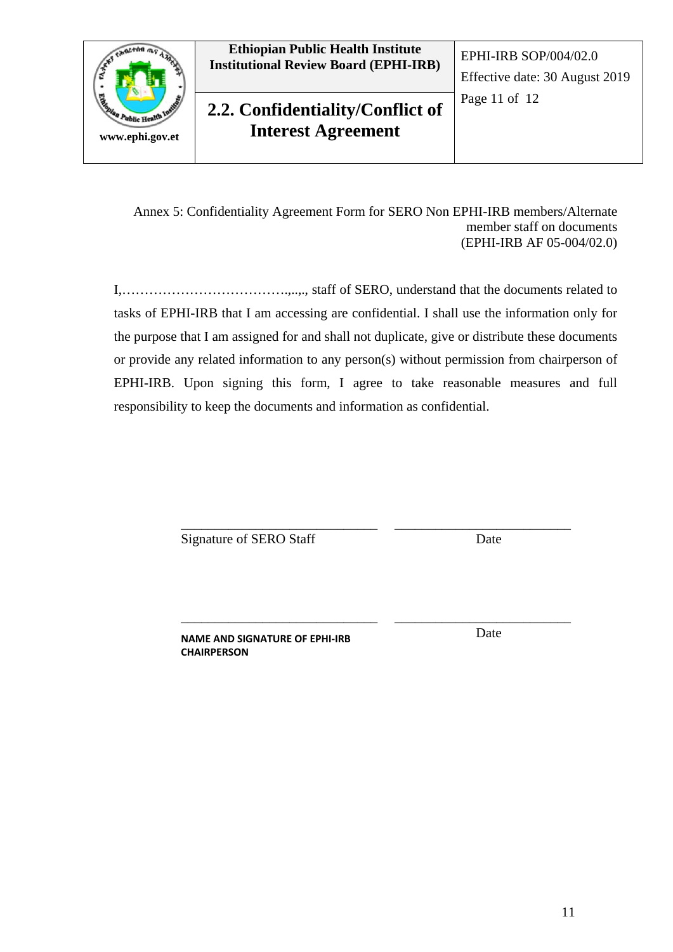

Annex 5: Confidentiality Agreement Form for SERO Non EPHI-IRB members/Alternate member staff on documents (EPHI-IRB AF 05-004/02.0)

I,……………………………….,..,., staff of SERO, understand that the documents related to tasks of EPHI-IRB that I am accessing are confidential. I shall use the information only for the purpose that I am assigned for and shall not duplicate, give or distribute these documents or provide any related information to any person(s) without permission from chairperson of EPHI-IRB. Upon signing this form, I agree to take reasonable measures and full responsibility to keep the documents and information as confidential.

Signature of SERO Staff

\_\_\_\_\_\_\_\_\_\_\_\_\_\_\_\_\_\_\_\_\_\_\_\_\_\_\_\_\_

\_\_\_\_\_\_\_\_\_\_\_\_\_\_\_\_\_\_\_\_\_\_\_\_\_\_\_\_\_

\_\_\_\_\_\_\_\_\_\_\_\_\_\_\_\_\_\_\_\_\_\_\_\_\_\_ **Date** 

**NAME AND SIGNATURE OF EPHI-IRB CHAIRPERSON**